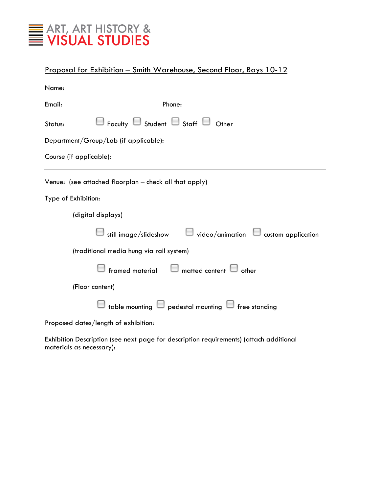

| Proposal for Exhibition - Smith Warehouse, Second Floor, Bays 10-12           |
|-------------------------------------------------------------------------------|
| Name:                                                                         |
| Email:<br>Phone:                                                              |
| $\Box$ Faculty $\Box$ Student $\Box$ Staff $\Box$ Other<br>Status:            |
| Department/Group/Lab (if applicable):                                         |
| Course (if applicable):                                                       |
| Venue: (see attached floorplan - check all that apply)                        |
| Type of Exhibition:                                                           |
| (digital displays)                                                            |
| $\Box$ still image/slideshow $\Box$ video/animation $\Box$ custom application |
| (traditional media hung via rail system)                                      |
| framed material $\Box$ matted content $\Box$ other                            |
| (Floor content)                                                               |
| $\Box$ table mounting $\Box$ pedestal mounting $\Box$ free standing           |
| Proposed dates/length of exhibition:                                          |

Exhibition Description (see next page for description requirements) (attach additional materials as necessary):